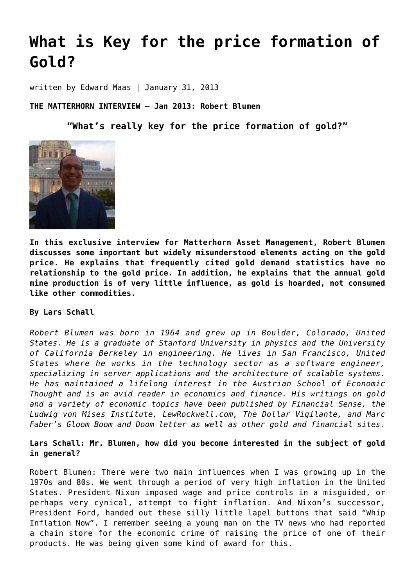# **[What is Key for the price formation of](https://goldswitzerland.com/what-is-key-for-the-price-formation-of-gold/) [Gold?](https://goldswitzerland.com/what-is-key-for-the-price-formation-of-gold/)**

written by Edward Maas | January 31, 2013

**THE MATTERHORN INTERVIEW – Jan 2013: Robert Blumen**

**"What's really key for the price formation of gold?"**



**In this exclusive interview for Matterhorn Asset Management, Robert Blumen discusses some important but widely misunderstood elements acting on the gold price. He explains that frequently cited gold demand statistics have no relationship to the gold price. In addition, he explains that the annual gold mine production is of very little influence, as gold is hoarded, not consumed like other commodities.**

### **By Lars Schall**

*Robert Blumen was born in 1964 and grew up in Boulder, Colorado, United States. He is a graduate of Stanford University in physics and the University of California Berkeley in engineering. He lives in San Francisco, United States where he works in the technology sector as a software engineer, specializing in server applications and the architecture of scalable systems. He has maintained a lifelong interest in the Austrian School of Economic Thought and is an avid reader in economics and finance. His writings on gold and a variety of economic topics have been published by [Financial Sense](http://www.financialsense.com/contributors/robert-blumen), the [Ludwig von Mises Institute](http://mises.org/daily/author/771), [LewRockwell.com,](http://www.lewrockwell.com/blumen/blumen-arch.html) [The Dollar Vigilante](https://www.google.com/search?q=dollar+vigilante+blumen&ie=utf-8&oe=utf-8&aq=t&rls=org.mozilla:en-US:official&client=firefox-a), and Marc Faber's [Gloom Boom and Doom letter](http://new.gloomboomdoom.com/public/pSTD.cfm?pageSPS_ID=1000) as well as other gold and financial sites.*

**Lars Schall: Mr. Blumen, how did you become interested in the subject of gold in general?**

Robert Blumen: There were two main influences when I was growing up in the 1970s and 80s. We went through a period of very high inflation in the United States. President Nixon imposed wage and price controls in a misguided, or perhaps very cynical, attempt to fight inflation. And Nixon's successor, President Ford, handed out these silly little lapel buttons that said "[Whip](http://en.wikipedia.org/wiki/Whip_inflation_now) [Inflation Now"](http://en.wikipedia.org/wiki/Whip_inflation_now). I remember seeing a young man on the TV news who had reported a chain store for the economic crime of raising the price of one of their products. He was being given some kind of award for this.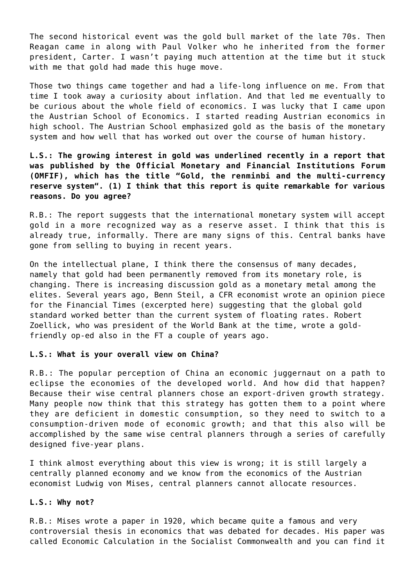The second historical event was the gold bull market of the late 70s. Then Reagan came in along with Paul Volker who he inherited from the former president, Carter. I wasn't paying much attention at the time but it stuck with me that gold had made this huge move.

Those two things came together and had a life-long influence on me. From that time I took away a curiosity about inflation. And that led me eventually to be curious about the whole field of economics. I was lucky that I came upon the Austrian School of Economics. I started reading Austrian economics in high school. The Austrian School emphasized gold as the basis of the monetary system and how well that has worked out over the course of human history.

**L.S.: The growing interest in gold was underlined recently in a report that was published by the Official Monetary and Financial Institutions Forum (OMFIF), which has the title "Gold, the renminbi and the multi-currency reserve system". (1) I think that this report is quite remarkable for various reasons. Do you agree?**

R.B.: The report suggests that the international monetary system will accept gold in a more recognized way as a reserve asset. I think that this is already true, informally. There are many signs of this. Central banks have gone from selling to buying in recent years.

On the intellectual plane, I think there the consensus of many decades, namely that gold had been permanently removed from its monetary role, is changing. There is increasing discussion gold as a monetary metal among the elites. Several years ago, [Benn Steil,](http://www.cfr.org/experts/economics-business-and-foreign-policy-technology-and-foreign-policy/benn-steil/b1637) a CFR economist wrote [an opinion piece](http://www.ft.com/intl/cms/s/bddfc502-9c30-11db-9c9b-0000779e2340,Authorised=false.html?_i_location=http%3A%2F%2Fwww.ft.com%2Fcms%2Fs%2F1%2Fbddfc502-9c30-11db-9c9b-0000779e2340.html&_i_referer=#axzz2JINimfuO) [for the Financial Times](http://www.ft.com/intl/cms/s/bddfc502-9c30-11db-9c9b-0000779e2340,Authorised=false.html?_i_location=http%3A%2F%2Fwww.ft.com%2Fcms%2Fs%2F1%2Fbddfc502-9c30-11db-9c9b-0000779e2340.html&_i_referer=#axzz2JINimfuO) (excerpted [here\)](http://www.cfr.org/business-and-foreign-policy/digital-gold-flawed-global-order/p12346) suggesting that the global gold standard worked better than the current system of floating rates. [Robert](http://en.wikipedia.org/wiki/Robert_Zoellick) [Zoellick](http://en.wikipedia.org/wiki/Robert_Zoellick), who was president of the World Bank at the time, wrote [a gold](http://www.ft.com/intl/cms/s/bddfc502-9c30-11db-9c9b-0000779e2340,Authorised=false.html?_i_location=http%3A%2F%2Fwww.ft.com%2Fcms%2Fs%2F1%2Fbddfc502-9c30-11db-9c9b-0000779e2340.html&_i_referer=)[friendly op-ed also in the FT](http://www.ft.com/intl/cms/s/bddfc502-9c30-11db-9c9b-0000779e2340,Authorised=false.html?_i_location=http%3A%2F%2Fwww.ft.com%2Fcms%2Fs%2F1%2Fbddfc502-9c30-11db-9c9b-0000779e2340.html&_i_referer=) a couple of years ago.

#### **L.S.: What is your overall view on China?**

R.B.: The popular perception of China an economic juggernaut on a path to eclipse the economies of the developed world. And how did that happen? Because their wise central planners chose an export-driven growth strategy. Many people now think that this strategy has gotten them to a point where they are deficient in domestic consumption, so they need to switch to a consumption-driven mode of economic growth; and that this also will be accomplished by the same wise central planners through a series of carefully designed five-year plans.

I think almost everything about this view is wrong; it is still largely a centrally planned economy and we know from the economics of the [Austrian](http://en.wikipedia.org/wiki/Ludwig_von_Mises) [economist Ludwig von Mises,](http://en.wikipedia.org/wiki/Ludwig_von_Mises) central planners cannot allocate resources.

#### **L.S.: Why not?**

R.B.: Mises wrote a paper in 1920, which became quite a famous and very controversial thesis in economics that was debated for decades. His paper was called [Economic Calculation in the Socialist Commonwealth](https://mises.org/econcalc.asp) and you can find it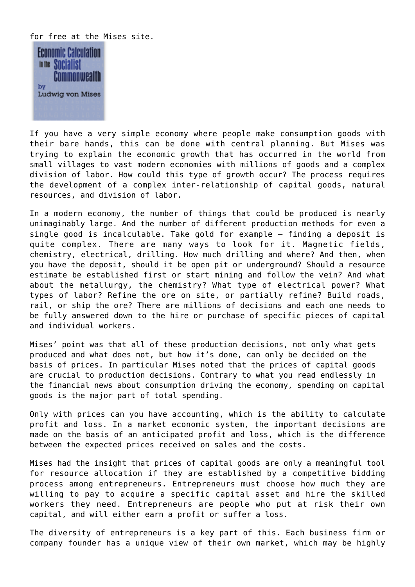for free at the Mises site.



If you have a very simple economy where people make consumption goods with their bare hands, this can be done with central planning. But Mises was trying to explain the economic growth that has occurred in the world from small villages to vast modern economies with millions of goods and a complex division of labor. How could this type of growth occur? The process requires the development of a complex inter-relationship of capital goods, natural resources, and division of labor.

In a modern economy, the number of things that could be produced is nearly unimaginably large. And the number of different production methods for even a single good is incalculable. Take gold for example – finding a deposit is quite complex. There are many ways to look for it. Magnetic fields, chemistry, electrical, drilling. How much drilling and where? And then, when you have the deposit, should it be open pit or underground? Should a resource estimate be established first or start mining and follow the vein? And what about the metallurgy, the chemistry? What type of electrical power? What types of labor? Refine the ore on site, or partially refine? Build roads, rail, or ship the ore? There are millions of decisions and each one needs to be fully answered down to the hire or purchase of specific pieces of capital and individual workers.

Mises' point was that all of these production decisions, not only what gets produced and what does not, but how it's done, can only be decided on the basis of prices. In particular Mises noted that the prices of capital goods are crucial to production decisions. [Contrary to what you read endlessly in](http://mises.org/daily/2878) [the financial news about consumption driving the economy](http://mises.org/daily/2878), spending on capital goods is the major part of total spending.

Only with prices can you have accounting, which is the ability to calculate profit and loss. In a market economic system, the important decisions are made on the basis of an anticipated profit and loss, which is the difference between the expected prices received on sales and the costs.

Mises had the insight that prices of capital goods are only a meaningful tool for resource allocation if they are established by a competitive bidding process among entrepreneurs. Entrepreneurs must choose how much they are willing to pay to acquire a specific capital asset and hire the skilled workers they need. Entrepreneurs are people who put at risk their own capital, and will either earn a profit or suffer a loss.

The diversity of entrepreneurs is a key part of this. Each business firm or company founder has a unique view of their own market, which may be highly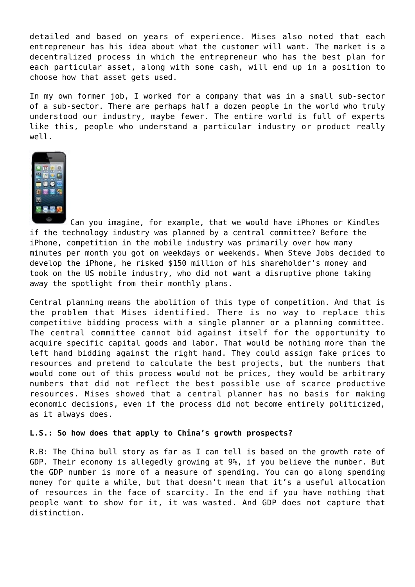detailed and based on years of experience. Mises also noted that each entrepreneur has his idea about what the customer will want. The market is a decentralized process in which the entrepreneur who has the best plan for each particular asset, along with some cash, will end up in a position to choose how that asset gets used.

In my own former job, I worked for a company that was in a small sub-sector of a sub-sector. There are perhaps half a dozen people in the world who truly understood our industry, maybe fewer. The entire world is full of experts like this, people who understand a particular industry or product really well.



Can you imagine, for example, that we would have iPhones or Kindles if the technology industry was planned by a central committee? Before the iPhone, competition in the mobile industry was primarily over how many minutes per month you got on weekdays or weekends. When Steve Jobs decided to develop the iPhone, [he risked \\$150 million of his shareholder's money and](http://www.wired.com/gadgets/wireless/magazine/16-02/ff_iphone?currentPage=all) [took on the US mobile industry](http://www.wired.com/gadgets/wireless/magazine/16-02/ff_iphone?currentPage=all), who did not want a disruptive phone taking away the spotlight from their monthly plans.

Central planning means the abolition of this type of competition. And that is the problem that Mises identified. There is no way to replace this competitive bidding process with a single planner or a planning committee. The central committee cannot bid against itself for the opportunity to acquire specific capital goods and labor. That would be nothing more than the left hand bidding against the right hand. They could assign fake prices to resources and pretend to calculate the best projects, but the numbers that would come out of this process would not be prices, they would be arbitrary numbers that did not reflect the best possible use of scarce productive resources. Mises showed that a central planner has no basis for making economic decisions, even if the process did not become entirely politicized, as it always does.

#### **L.S.: So how does that apply to China's growth prospects?**

R.B: The China bull story as far as I can tell is based on the growth rate of GDP. Their economy is allegedly growing at 9%, if you believe the number. But the GDP number is more of a measure of spending. You can go along spending money for quite a while, but that doesn't mean that it's a useful allocation of resources in the face of scarcity. In the end if you have nothing that people want to show for it, it was wasted. And GDP does not capture that distinction.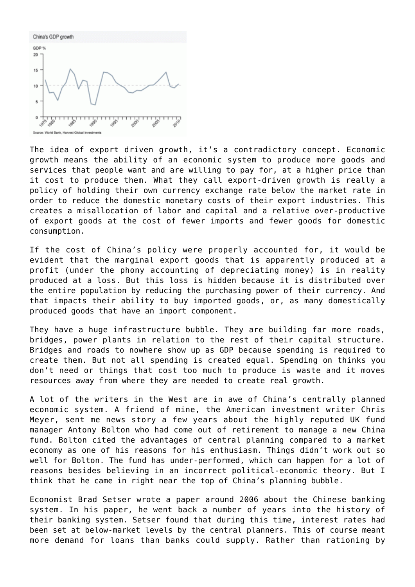

The idea of export driven growth, it's a contradictory concept. Economic growth means the ability of an economic system to produce more goods and services that people want and are willing to pay for, at a higher price than it cost to produce them. What they call export-driven growth is really a policy of holding their own currency exchange rate below the market rate in order to reduce the domestic monetary costs of their export industries. This creates a misallocation of labor and capital and a relative over-productive of export goods at the cost of fewer imports and fewer goods for domestic consumption.

If the cost of China's policy were properly accounted for, it would be evident that the marginal export goods that is apparently produced at a profit (under the phony accounting of depreciating money) is in reality produced at a loss. But this loss is hidden because it is distributed over the entire population by reducing the purchasing power of their currency. And that impacts their ability to buy imported goods, or, as many domestically produced goods that have an import component.

They have a huge infrastructure bubble. They are building far more roads, bridges, power plants in relation to the rest of their capital structure. Bridges and roads to nowhere show up as GDP because spending is required to create them. But not all spending is created equal. Spending on thinks you don't need or things that cost too much to produce is waste and it moves resources away from where they are needed to create real growth.

A lot of the writers in the West are in awe of China's centrally planned economic system. A friend of mine, the [American investment writer Chris](http://capitalandcrisis.agorafinancial.com/) [Meyer](http://capitalandcrisis.agorafinancial.com/), sent me news story a few years about the highly reputed UK fund manager Antony Bolton who had come out of retirement to manage [a new China](https://www.fidelity.co.uk/investmenttrusts/investment-range/china-special-situations/default.page) [fund.](https://www.fidelity.co.uk/investmenttrusts/investment-range/china-special-situations/default.page) Bolton [cited the advantages of central planning compared](http://www.ft.com/intl/cms/s/0/77150558-daf6-11de-933d-00144feabdc0.html) to a market economy as one of his reasons for his enthusiasm. Things didn't work out so well for Bolton. The fund has under-performed, which can happen for a lot of reasons besides believing in an incorrect political-economic theory. But I think that he came in right near the top of China's planning bubble.

Economist Brad Setser wrote [a paper](http://cesifo.oxfordjournals.org/content/52/2/364.full.pdf+html) around 2006 about the Chinese banking system. In his paper, he went back a number of years into the history of their banking system. Setser found that during this time, interest rates had been set at below-market levels by the central planners. This of course meant more demand for loans than banks could supply. Rather than rationing by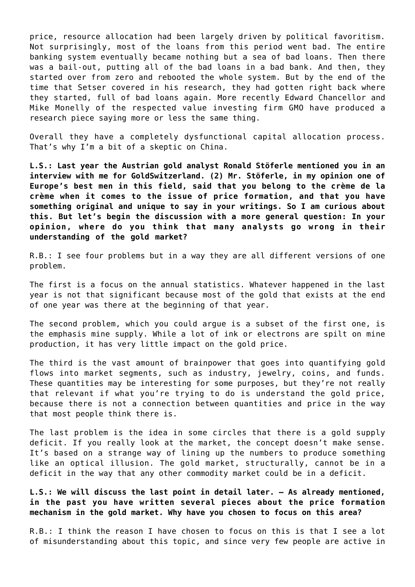price, resource allocation had been largely driven by political favoritism. Not surprisingly, most of the loans from this period went bad. The entire banking system eventually became nothing but a sea of bad loans. Then there was a bail-out, putting all of the bad loans in a bad bank. And then, they started over from zero and rebooted the whole system. But by the end of the time that Setser covered in his research, they had gotten right back where they started, full of bad loans again. More recently Edward Chancellor and Mike Monelly of the respected value investing firm [GMO](http://www.gmo.com/America/) have produced [a](https://www.gmo.com/America/CMSAttachmentDownload.aspx?target=JUBRxi51IIA6KcUdqlSIwIXyKFLDu0ahgi%2FVwwPhMBjQBiRm%2BRLnDmOmauuxY3ieIGb5rFygoEWoFXDEs8Gu%2BAyctYJBUNhP4Y3avDPBk7WUGH2FqmGe9A%3D%3D) [research piece](https://www.gmo.com/America/CMSAttachmentDownload.aspx?target=JUBRxi51IIA6KcUdqlSIwIXyKFLDu0ahgi%2FVwwPhMBjQBiRm%2BRLnDmOmauuxY3ieIGb5rFygoEWoFXDEs8Gu%2BAyctYJBUNhP4Y3avDPBk7WUGH2FqmGe9A%3D%3D) saying more or less the same thing.

Overall they have a completely dysfunctional capital allocation process. That's why I'm a bit of a skeptic on China.

**L.S.: Last year the Austrian gold analyst Ronald Stöferle mentioned you in an interview with me for GoldSwitzerland. (2) Mr. Stöferle, in my opinion one of Europe's best men in this field, said that you belong to the crème de la crème when it comes to the issue of price formation, and that you have something original and unique to say in your writings. So I am curious about this. But let's begin the discussion with a more general question: In your opinion, where do you think that many analysts go wrong in their understanding of the gold market?**

R.B.: I see four problems but in a way they are all different versions of one problem.

The first is a focus on the annual statistics. Whatever happened in the last year is not that significant because most of the gold that exists at the end of one year was there at the beginning of that year.

The second problem, which you could argue is a subset of the first one, is the emphasis mine supply. While a lot of ink or electrons are spilt on mine production, it has very little impact on the gold price.

The third is the vast amount of brainpower that goes into quantifying gold flows into market segments, such as industry, jewelry, coins, and funds. These quantities may be interesting for some purposes, but they're not really that relevant if what you're trying to do is understand the gold price, because there is not a connection between quantities and price in the way that most people think there is.

The last problem is the idea in some circles that there is a gold supply deficit. If you really look at the market, the concept doesn't make sense. It's based on a strange way of lining up the numbers to produce something like an optical illusion. The gold market, structurally, cannot be in a deficit in the way that any other commodity market could be in a deficit.

# **L.S.: We will discuss the last point in detail later. — As already mentioned, in the past you have written several pieces about the price formation mechanism in the gold market. Why have you chosen to focus on this area?**

R.B.: I think the reason I have chosen to focus on this is that I see a lot of misunderstanding about this topic, and since very few people are active in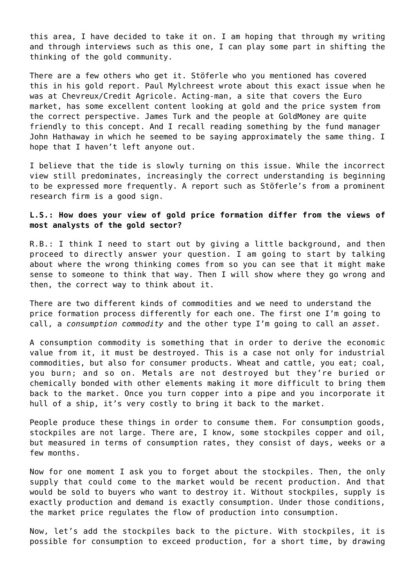this area, I have decided to take it on. I am hoping that through my writing and through interviews such as this one, I can play some part in shifting the thinking of the gold community.

There are a few others who get it. Stöferle who you mentioned has covered this in [his gold report.](http://www.gotgoldreport.com/2012/07/erste-bank-sixth-annual-in-gold-we-trust-.html) Paul Mylchreest wrote [about this exact issue](http://www.gata.org/CheuvreuxGoldReport.pdf) when he was at [Chevreux/Credit Agricole.](http://www.caicheuvreux.com/) [Acting-man](http://www.acting-man.com/?p=2054), a site that covers the Euro market, has [some excellent content](http://www.acting-man.com/?p=2054) looking at gold and the price system from the correct perspective. James Turk and the people at [GoldMoney](http://www.goldmoney.com/) are quite friendly to this concept. And I recall reading something by the fund manager [John Hathaway](http://tocqueville.com/mutual-funds/tocqueville-gold-fund) in which he seemed to be saying approximately the same thing. I hope that I haven't left anyone out.

I believe that the tide is slowly turning on this issue. While the incorrect view still predominates, increasingly the correct understanding is beginning to be expressed more frequently. A report such as Stöferle's from a prominent research firm is a good sign.

## **L.S.: How does your view of gold price formation differ from the views of most analysts of the gold sector?**

R.B.: I think I need to start out by giving a little background, and then proceed to directly answer your question. I am going to start by talking about where the wrong thinking comes from so you can see that it might make sense to someone to think that way. Then I will show where they go wrong and then, the correct way to think about it.

There are two different kinds of commodities and we need to understand the price formation process differently for each one. The first one I'm going to call, a *consumption commodity* and the other type I'm going to call an *asset*.

A consumption commodity is something that in order to derive the economic value from it, it must be destroyed. This is a case not only for industrial commodities, but also for consumer products. Wheat and cattle, you eat; coal, you burn; and so on. Metals are not destroyed but they're buried or chemically bonded with other elements making it more difficult to bring them back to the market. Once you turn copper into a pipe and you incorporate it hull of a ship, it's very costly to bring it back to the market.

People produce these things in order to consume them. For consumption goods, stockpiles are not large. There are, I know, some stockpiles copper and oil, but measured in terms of consumption rates, they consist of days, weeks or a few months.

Now for one moment I ask you to forget about the stockpiles. Then, the only supply that could come to the market would be recent production. And that would be sold to buyers who want to destroy it. Without stockpiles, supply is exactly production and demand is exactly consumption. Under those conditions, the market price regulates the flow of production into consumption.

Now, let's add the stockpiles back to the picture. With stockpiles, it is possible for consumption to exceed production, for a short time, by drawing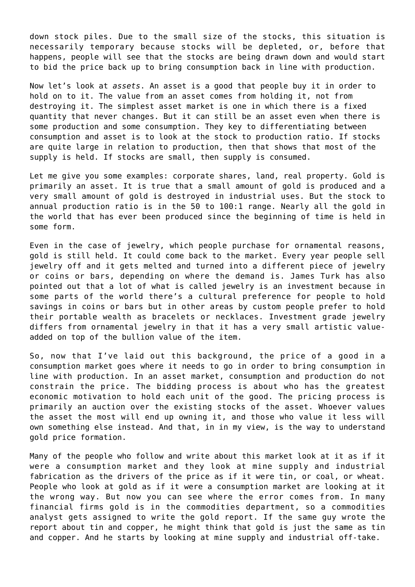down stock piles. Due to the small size of the stocks, this situation is necessarily temporary because stocks will be depleted, or, before that happens, people will see that the stocks are being drawn down and would start to bid the price back up to bring consumption back in line with production.

Now let's look at *assets*. An asset is a good that people buy it in order to hold on to it. The value from an asset comes from holding it, not from destroying it. The simplest asset market is one in which there is a fixed quantity that never changes. But it can still be an asset even when there is some production and some consumption. They key to differentiating between consumption and asset is to look at the stock to production ratio. If stocks are quite large in relation to production, then that shows that most of the supply is held. If stocks are small, then supply is consumed.

Let me give you some examples: corporate shares, land, real property. Gold is primarily an asset. It is true that a small amount of gold is produced and a very small amount of gold is destroyed in industrial uses. But the stock to annual production ratio is in the 50 to 100:1 range. Nearly all the gold in the world that has ever been produced since the beginning of time is held in some form.

Even in the case of jewelry, which people purchase for ornamental reasons, gold is still held. It could come back to the market. Every year people sell jewelry off and it gets melted and turned into a different piece of jewelry or coins or bars, depending on where the demand is. James Turk has also pointed out that a lot of what is called jewelry is an investment because in some parts of the world there's a cultural preference for people to hold savings in coins or bars but in other areas by custom people prefer to hold their portable wealth as bracelets or necklaces. Investment grade jewelry differs from ornamental jewelry in that it has a very small artistic valueadded on top of the bullion value of the item.

So, now that I've laid out this background, the price of a good in a consumption market goes where it needs to go in order to bring consumption in line with production. In an asset market, consumption and production do not constrain the price. The bidding process is about who has the greatest economic motivation to hold each unit of the good. The pricing process is primarily an auction over the existing stocks of the asset. Whoever values the asset the most will end up owning it, and those who value it less will own something else instead. And that, in in my view, is the way to understand gold price formation.

Many of the people who follow and write about this market look at it as if it were a consumption market and they look at mine supply and industrial fabrication as the drivers of the price as if it were tin, or coal, or wheat. People who look at gold as if it were a consumption market are looking at it the wrong way. But now you can see where the error comes from. In many financial firms gold is in the commodities department, so a commodities analyst gets assigned to write the gold report. If the same guy wrote the report about tin and copper, he might think that gold is just the same as tin and copper. And he starts by looking at mine supply and industrial off-take.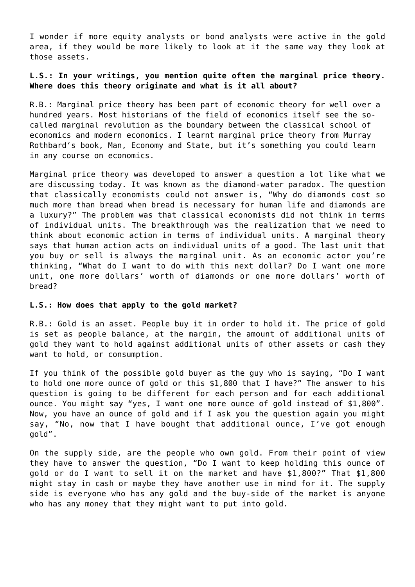I wonder if more equity analysts or bond analysts were active in the gold area, if they would be more likely to look at it the same way they look at those assets.

# **L.S.: In your writings, you mention quite often the marginal price theory. Where does this theory originate and what is it all about?**

R.B.: [Marginal price theory](http://en.wikipedia.org/wiki/Marginal_utility) has been part of economic theory for well over a hundred years. Most historians of the field of economics itself see the socalled [marginal revolution](http://en.wikipedia.org/wiki/Marginal_utility#The_Marginal_Revolution) as the boundary between the [classical school of](http://en.wikipedia.org/wiki/Classical_economics) [economics](http://en.wikipedia.org/wiki/Classical_economics) and [modern economics](http://en.wikipedia.org/wiki/Neoclassical_economics). I learnt marginal price theory from [Murray](http://en.wikipedia.org/wiki/Murray_Rothbard) [Rothbard](http://en.wikipedia.org/wiki/Murray_Rothbard)'s book, [Man, Economy and State,](http://mises.org/rothbard/mes.asp) but it's something you could learn in any course on economics.

Marginal price theory was developed to answer a question a lot like what we are discussing today. It was known as the [diamond-water paradox.](http://en.wikipedia.org/wiki/Paradox_of_value) The question that classically economists could not answer is, "Why do diamonds cost so much more than bread when bread is necessary for human life and diamonds are a luxury?" The problem was that classical economists did not think in terms of individual units. The breakthrough was the realization that we need to think about economic action in terms of individual units. A marginal theory says that human action acts on individual units of a good. The last unit that you buy or sell is always the marginal unit. As an economic actor you're thinking, "What do I want to do with this next dollar? Do I want one more unit, one more dollars' worth of diamonds or one more dollars' worth of bread?

#### **L.S.: How does that apply to the gold market?**

R.B.: Gold is an asset. People buy it in order to hold it. The price of gold is set as people balance, at the margin, the amount of additional units of gold they want to hold against additional units of other assets or cash they want to hold, or consumption.

If you think of the possible gold buyer as the guy who is saying, "Do I want to hold one more ounce of gold or this \$1,800 that I have?" The answer to his question is going to be different for each person and for each additional ounce. You might say "yes, I want one more ounce of gold instead of \$1,800". Now, you have an ounce of gold and if I ask you the question again you might say, "No, now that I have bought that additional ounce, I've got enough gold".

On the supply side, are the people who own gold. From their point of view they have to answer the question, "Do I want to keep holding this ounce of gold or do I want to sell it on the market and have \$1,800?" That \$1,800 might stay in cash or maybe they have another use in mind for it. The supply side is everyone who has any gold and the buy-side of the market is anyone who has any money that they might want to put into gold.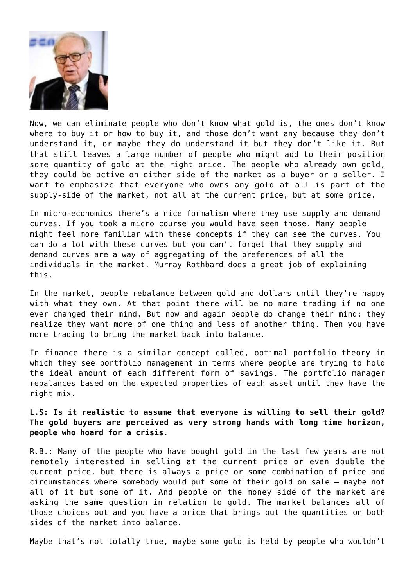

Now, we can eliminate people who don't know what gold is, the ones don't know where to buy it or how to buy it, and those don't want any because they don't understand it, or maybe they do understand it but they don't like it. But that still leaves a large number of people who might add to their position some quantity of gold at the right price. The people who already own gold, they could be active on either side of the market as a buyer or a seller. I want to emphasize that everyone who owns any gold at all is part of the supply-side of the market, not all at the current price, but at some price.

In micro-economics there's a nice formalism where they use supply and demand curves. If you took a micro course you would have seen those. Many people might feel more familiar with these concepts if they can see the curves. You can do a lot with these curves but you can't forget that they supply and demand curves are a way of aggregating of the preferences of all the individuals in the market. Murray Rothbard does [a great job of explaining](http://en.wikipedia.org/wiki/Neoclassical_economics) [this](http://en.wikipedia.org/wiki/Neoclassical_economics).

In the market, people rebalance between gold and dollars until they're happy with what they own. At that point there will be no more trading if no one ever changed their mind. But now and again people do change their mind; they realize they want more of one thing and less of another thing. Then you have more trading to bring the market back into balance.

In finance there is a similar concept called, [optimal portfolio theory](http://en.wikipedia.org/wiki/Modern_portfolio_theory) in which they see portfolio management in terms where people are trying to hold the ideal amount of each different form of savings. The portfolio manager rebalances based on the expected properties of each asset until they have the right mix.

**L.S: Is it realistic to assume that everyone is willing to sell their gold? The gold buyers are perceived as very strong hands with long time horizon, people who hoard for a crisis.**

R.B.: Many of the people who have bought gold in the last few years are not remotely interested in selling at the current price or even double the current price, but there is always a price or some combination of price and circumstances where somebody would put some of their gold on sale — maybe not all of it but some of it. And people on the money side of the market are asking the same question in relation to gold. The market balances all of those choices out and you have a price that brings out the quantities on both sides of the market into balance.

Maybe that's not totally true, maybe some gold is held by people who wouldn't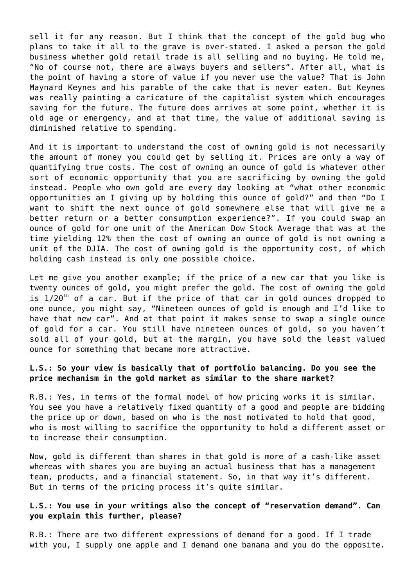sell it for any reason. But I think that the concept of the gold bug who plans to take it all to the grave is over-stated. I asked a person the gold business whether gold retail trade is all selling and no buying. He told me, "No of course not, there are always buyers and sellers". After all, what is the point of having a store of value if you never use the value? That is John Maynard Keynes and his parable of the cake that is never eaten. But Keynes was really painting a caricature of the capitalist system which encourages saving for the future. The future does arrives at some point, whether it is old age or emergency, and at that time, the value of additional saving is diminished relative to spending.

And it is important to understand the cost of owning gold is not necessarily the amount of money you could get by selling it. Prices are only a way of quantifying true costs. The cost of owning an ounce of gold is whatever other sort of economic opportunity that you are sacrificing by owning the gold instead. People who own gold are every day looking at "what other economic opportunities am I giving up by holding this ounce of gold?" and then "Do I want to shift the next ounce of gold somewhere else that will give me a better return or a better consumption experience?". If you could swap an ounce of gold for one unit of the American [Dow Stock Average](http://en.wikipedia.org/wiki/Dow_Jones_Industrial_Average) that was at the time yielding 12% then the cost of owning an ounce of gold is not owning a unit of the DJIA. The cost of owning gold is the opportunity cost, of which holding cash instead is only one possible choice.

Let me give you another example; if the price of a new car that you like is twenty ounces of gold, you might prefer the gold. The cost of owning the gold is  $1/20^{th}$  of a car. But if the price of that car in gold ounces dropped to one ounce, you might say, "Nineteen ounces of gold is enough and I'd like to have that new car". And at that point it makes sense to swap a single ounce of gold for a car. You still have nineteen ounces of gold, so you haven't sold all of your gold, but at the margin, you have sold the least valued ounce for something that became more attractive.

## **L.S.: So your view is basically that of portfolio balancing. Do you see the price mechanism in the gold market as similar to the share market?**

R.B.: Yes, in terms of the formal model of how pricing works it is similar. You see you have a relatively fixed quantity of a good and people are bidding the price up or down, based on who is the most motivated to hold that good, who is most willing to sacrifice the opportunity to hold a different asset or to increase their consumption.

Now, gold is different than shares in that gold is more of a cash-like asset whereas with shares you are buying an actual business that has a management team, products, and a financial statement. So, in that way it's different. But in terms of the pricing process it's quite similar.

### **L.S.: You use in your writings also the concept of "reservation demand". Can you explain this further, please?**

R.B.: There are two different expressions of demand for a good. If I trade with you, I supply one apple and I demand one banana and you do the opposite.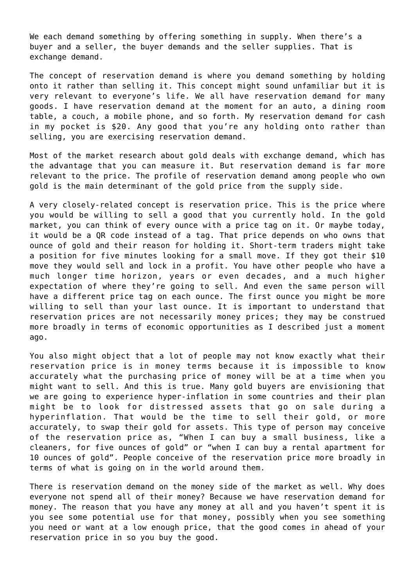We each demand something by offering something in supply. When there's a buyer and a seller, the buyer demands and the seller supplies. That is exchange demand.

The concept of reservation demand is where you demand something by holding onto it rather than selling it. This concept might sound unfamiliar but it is very relevant to everyone's life. We all have reservation demand for many goods. I have reservation demand at the moment for an auto, a dining room table, a couch, a mobile phone, and so forth. My reservation demand for cash in my pocket is \$20. Any good that you're any holding onto rather than selling, you are exercising reservation demand.

Most of the market research about gold deals with exchange demand, which has the advantage that you can measure it. But reservation demand is far more relevant to the price. The profile of reservation demand among people who own gold is the main determinant of the gold price from the supply side.

A very closely-related concept is reservation price. This is the price where you would be willing to sell a good that you currently hold. In the gold market, you can think of every ounce with a price tag on it. Or maybe today, it would be a QR code instead of a tag. That price depends on who owns that ounce of gold and their reason for holding it. Short-term traders might take a position for five minutes looking for a small move. If they got their \$10 move they would sell and lock in a profit. You have other people who have a much longer time horizon, years or even decades, and a much higher expectation of where they're going to sell. And even the same person will have a different price tag on each ounce. The first ounce you might be more willing to sell than your last ounce. It is important to understand that reservation prices are not necessarily money prices; they may be construed more broadly in terms of economic opportunities as I described just a moment ago.

You also might object that a lot of people may not know exactly what their reservation price is in money terms because it is impossible to know accurately what the purchasing price of money will be at a time when you might want to sell. And this is true. Many gold buyers are envisioning that we are going to experience hyper-inflation in some countries and their plan might be to look for distressed assets that go on sale during a hyperinflation. That would be the time to sell their gold, or more accurately, to swap their gold for assets. This type of person may conceive of the reservation price as, "When I can buy a small business, like a cleaners, for five ounces of gold" or "when I can buy a rental apartment for 10 ounces of gold". People conceive of the reservation price more broadly in terms of what is going on in the world around them.

There is reservation demand on the money side of the market as well. Why does everyone not spend all of their money? Because we have reservation demand for money. The reason that you have any money at all and you haven't spent it is you see some potential use for that money, possibly when you see something you need or want at a low enough price, that the good comes in ahead of your reservation price in so you buy the good.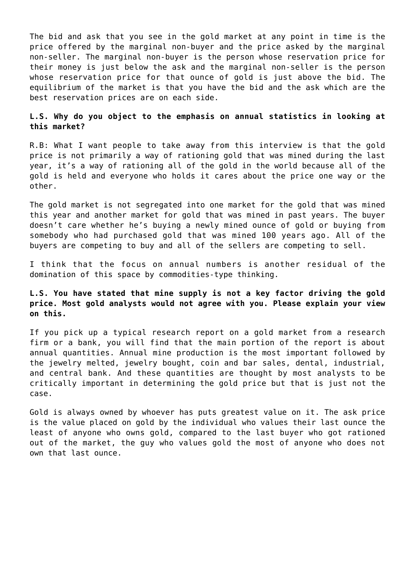The bid and ask that you see in the gold market at any point in time is the price offered by the marginal non-buyer and the price asked by the marginal non-seller. The marginal non-buyer is the person whose reservation price for their money is just below the ask and the marginal non-seller is the person whose reservation price for that ounce of gold is just above the bid. The equilibrium of the market is that you have the bid and the ask which are the best reservation prices are on each side.

## **L.S. Why do you object to the emphasis on annual statistics in looking at this market?**

R.B: What I want people to take away from this interview is that the gold price is not primarily a way of rationing gold that was mined during the last year, it's a way of rationing all of the gold in the world because all of the gold is held and everyone who holds it cares about the price one way or the other.

The gold market is not segregated into one market for the gold that was mined this year and another market for gold that was mined in past years. The buyer doesn't care whether he's buying a newly mined ounce of gold or buying from somebody who had purchased gold that was mined 100 years ago. All of the buyers are competing to buy and all of the sellers are competing to sell.

I think that the focus on annual numbers is another residual of the domination of this space by commodities-type thinking.

# **L.S. You have stated that mine supply is not a key factor driving the gold price. Most gold analysts would not agree with you. Please explain your view on this.**

If you pick up a typical research report on a gold market from a research firm or a bank, you will find that the main portion of the report is about annual quantities. Annual mine production is the most important followed by the jewelry melted, jewelry bought, coin and bar sales, dental, industrial, and central bank. And these quantities are thought by most analysts to be critically important in determining the gold price but that is just not the case.

Gold is always owned by whoever has puts greatest value on it. The ask price is the value placed on gold by the individual who values their last ounce the least of anyone who owns gold, compared to the last buyer who got rationed out of the market, the guy who values gold the most of anyone who does not own that last ounce.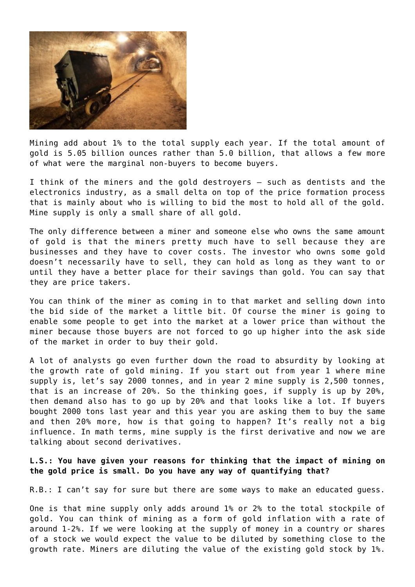

Mining add about 1% to the total supply each year. If the total amount of gold is 5.05 billion ounces rather than 5.0 billion, that allows a few more of what were the marginal non-buyers to become buyers.

I think of the miners and the gold destroyers – such as dentists and the electronics industry, as a small delta on top of the price formation process that is mainly about who is willing to bid the most to hold all of the gold. Mine supply is only a small share of all gold.

The only difference between a miner and someone else who owns the same amount of gold is that the miners pretty much have to sell because they are businesses and they have to cover costs. The investor who owns some gold doesn't necessarily have to sell, they can hold as long as they want to or until they have a better place for their savings than gold. You can say that they are price takers.

You can think of the miner as coming in to that market and selling down into the bid side of the market a little bit. Of course the miner is going to enable some people to get into the market at a lower price than without the miner because those buyers are not forced to go up higher into the ask side of the market in order to buy their gold.

A lot of analysts go even further down the road to absurdity by looking at the growth rate of gold mining. If you start out from year 1 where mine supply is, let's say 2000 tonnes, and in year 2 mine supply is 2,500 tonnes, that is an increase of 20%. So the thinking goes, if supply is up by 20%, then demand also has to go up by 20% and that looks like a lot. If buyers bought 2000 tons last year and this year you are asking them to buy the same and then 20% more, how is that going to happen? It's really not a big influence. In math terms, mine supply is the first derivative and now we are talking about second derivatives.

### **L.S.: You have given your reasons for thinking that the impact of mining on the gold price is small. Do you have any way of quantifying that?**

R.B.: I can't say for sure but there are some ways to make an educated guess.

One is that mine supply only adds around 1% or 2% to the total stockpile of gold. You can think of mining as a form of gold inflation with a rate of around 1-2%. If we were looking at the supply of money in a country or shares of a stock we would expect the value to be diluted by something close to the growth rate. Miners are diluting the value of the existing gold stock by 1%.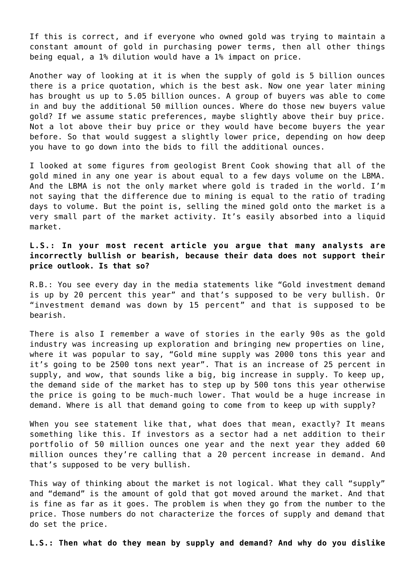If this is correct, and if everyone who owned gold was trying to maintain a constant amount of gold in purchasing power terms, then all other things being equal, a 1% dilution would have a 1% impact on price.

Another way of looking at it is when the supply of gold is 5 billion ounces there is a price quotation, which is the best ask. Now one year later mining has brought us up to 5.05 billion ounces. A group of buyers was able to come in and buy the additional 50 million ounces. Where do those new buyers value gold? If we assume static preferences, maybe slightly above their buy price. Not a lot above their buy price or they would have become buyers the year before. So that would suggest a slightly lower price, depending on how deep you have to go down into the bids to fill the additional ounces.

[I looked at some figures from geologist Brent Cook](http://archive.mises.org/10693/does-mining-matter-lbma-and-the-gold-float/) showing that all of the gold mined in any one year is about equal to a few days volume on the LBMA. And the LBMA is not the only market where gold is traded in the world. I'm not saying that the difference due to mining is equal to the ratio of trading days to volume. But the point is, selling the mined gold onto the market is a very small part of the market activity. It's easily absorbed into a liquid market.

**L.S.: In [your most recent article](http://www.scribd.com/doc/120711219/Misunderstanding-Gold-Demand) you argue that many analysts are incorrectly bullish or bearish, because their data does not support their price outlook. Is that so?**

R.B.: You see every day in the media statements like "Gold investment demand is up by 20 percent this year" and that's supposed to be very bullish. Or "investment demand was down by 15 percent" and that is supposed to be bearish.

There is also I remember a wave of stories in the early 90s as the gold industry was increasing up exploration and bringing new properties on line, where it was popular to say, "Gold mine supply was 2000 tons this year and it's going to be 2500 tons next year". That is an increase of 25 percent in supply, and wow, that sounds like a big, big increase in supply. To keep up, the demand side of the market has to step up by 500 tons this year otherwise the price is going to be much-much lower. That would be a huge increase in demand. Where is all that demand going to come from to keep up with supply?

When you see statement like that, what does that mean, exactly? It means something like this. If investors as a sector had a net addition to their portfolio of 50 million ounces one year and the next year they added 60 million ounces they're calling that a 20 percent increase in demand. And that's supposed to be very bullish.

This way of thinking about the market is not logical. What they call "supply" and "demand" is the amount of gold that got moved around the market. And that is fine as far as it goes. The problem is when they go from the number to the price. Those numbers do not characterize the forces of supply and demand that do set the price.

**L.S.: Then what do they mean by supply and demand? And why do you dislike**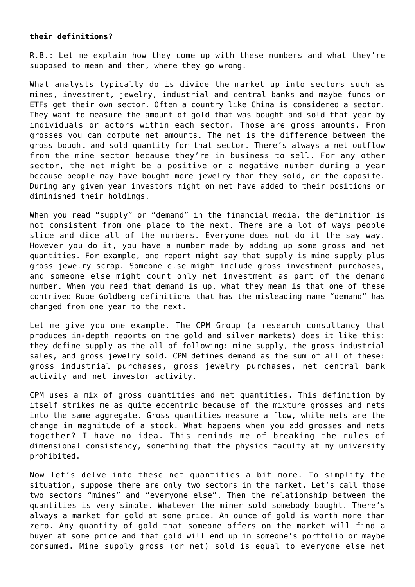#### **their definitions?**

R.B.: Let me explain how they come up with these numbers and what they're supposed to mean and then, where they go wrong.

What analysts typically do is divide the market up into sectors such as mines, investment, jewelry, industrial and central banks and maybe funds or ETFs get their own sector. Often a country like China is considered a sector. They want to measure the amount of gold that was bought and sold that year by individuals or actors within each sector. Those are gross amounts. From grosses you can compute net amounts. The net is the difference between the gross bought and sold quantity for that sector. There's always a net outflow from the mine sector because they're in business to sell. For any other sector, the net might be a positive or a negative number during a vear because people may have bought more jewelry than they sold, or the opposite. During any given year investors might on net have added to their positions or diminished their holdings.

When you read "supply" or "demand" in the financial media, the definition is not consistent from one place to the next. There are a lot of ways people slice and dice all of the numbers. Everyone does not do it the say way. However you do it, you have a number made by adding up some gross and net quantities. For example, one report might say that supply is mine supply plus gross jewelry scrap. Someone else might include gross investment purchases, and someone else might count only net investment as part of the demand number. When you read that demand is up, what they mean is that one of these contrived [Rube Goldberg](http://www.rubegoldberg.com/) definitions that has the misleading name "demand" has changed from one year to the next.

Let me give you one example. [The CPM Group](http://www.cpmgroup.com/) (a research consultancy that produces in-depth reports on the gold and silver markets) does it like this: they define supply as the all of following: mine supply, the gross industrial sales, and gross jewelry sold. CPM defines demand as the sum of all of these: gross industrial purchases, gross jewelry purchases, net central bank activity and net investor activity.

CPM uses a mix of gross quantities and net quantities. This definition by itself strikes me as quite eccentric because of the mixture grosses and nets into the same aggregate. Gross quantities measure a flow, while nets are the change in magnitude of a stock. What happens when you add grosses and nets together? I have no idea. This reminds me of breaking the rules of [dimensional consistency,](http://wiki.answers.com/Q/What_is_dimensional_consistency) something that the physics faculty at my university prohibited.

Now let's delve into these net quantities a bit more. To simplify the situation, suppose there are only two sectors in the market. Let's call those two sectors "mines" and "everyone else". Then the relationship between the quantities is very simple. Whatever the miner sold somebody bought. There's always a market for gold at some price. An ounce of gold is worth more than zero. Any quantity of gold that someone offers on the market will find a buyer at some price and that gold will end up in someone's portfolio or maybe consumed. Mine supply gross (or net) sold is equal to everyone else net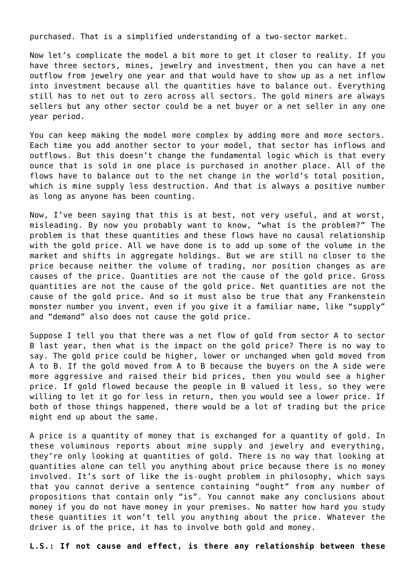purchased. That is a simplified understanding of a two-sector market.

Now let's complicate the model a bit more to get it closer to reality. If you have three sectors, mines, jewelry and investment, then you can have a net outflow from jewelry one year and that would have to show up as a net inflow into investment because all the quantities have to balance out. Everything still has to net out to zero across all sectors. The gold miners are always sellers but any other sector could be a net buyer or a net seller in any one year period.

You can keep making the model more complex by adding more and more sectors. Each time you add another sector to your model, that sector has inflows and outflows. But this doesn't change the fundamental logic which is that every ounce that is sold in one place is purchased in another place. All of the flows have to balance out to the net change in the world's total position, which is mine supply less destruction. And that is always a positive number as long as anyone has been counting.

Now, I've been saying that this is at best, not very useful, and at worst, misleading. By now you probably want to know, "what is the problem?" The problem is that these quantities and these flows have no causal relationship with the gold price. All we have done is to add up some of the volume in the market and shifts in aggregate holdings. But we are still no closer to the price because neither the volume of trading, nor position changes as are causes of the price. Quantities are not the cause of the gold price. Gross quantities are not the cause of the gold price. Net quantities are not the cause of the gold price. And so it must also be true that any [Frankenstein](http://en.wikipedia.org/wiki/Frankenstein%27s_monster) [monster](http://en.wikipedia.org/wiki/Frankenstein%27s_monster) number you invent, even if you give it a familiar name, like "supply" and "demand" also does not cause the gold price.

Suppose I tell you that there was a net flow of gold from sector A to sector B last year, then what is the impact on the gold price? There is no way to say. The gold price could be higher, lower or unchanged when gold moved from A to B. If the gold moved from A to B because the buyers on the A side were more aggressive and raised their bid prices, then you would see a higher price. If gold flowed because the people in B valued it less, so they were willing to let it go for less in return, then you would see a lower price. If both of those things happened, there would be a lot of trading but the price might end up about the same.

A price is a quantity of money that is exchanged for a quantity of gold. In these voluminous reports about mine supply and jewelry and everything, they're only looking at quantities of gold. There is no way that looking at quantities alone can tell you anything about price because there is no money involved. It's sort of like the [is-ought problem](http://en.wikipedia.org/wiki/Is–ought_problem) in philosophy, which says that you cannot derive a sentence containing "ought" from any number of propositions that contain only "is". You cannot make any conclusions about money if you do not have money in your premises. No matter how hard you study these quantities it won't tell you anything about the price. Whatever the driver is of the price, it has to involve both gold and money.

**L.S.: If not cause and effect, is there any relationship between these**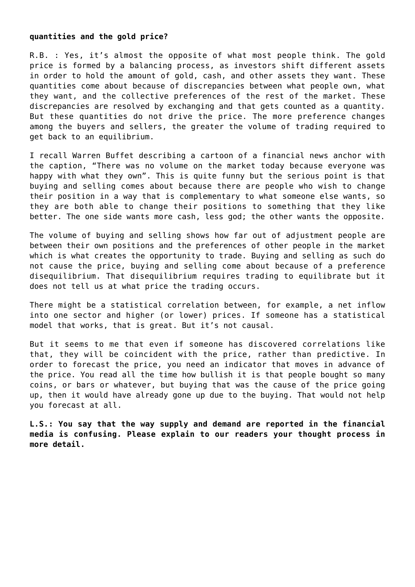#### **quantities and the gold price?**

R.B. : Yes, it's almost the opposite of what most people think. The gold price is formed by a balancing process, as investors shift different assets in order to hold the amount of gold, cash, and other assets they want. These quantities come about because of discrepancies between what people own, what they want, and the collective preferences of the rest of the market. These discrepancies are resolved by exchanging and that gets counted as a quantity. But these quantities do not drive the price. The more preference changes among the buyers and sellers, the greater the volume of trading required to get back to an equilibrium.

I recall Warren Buffet describing a cartoon of a financial news anchor with the caption, "There was no volume on the market today because everyone was happy with what they own". This is quite funny but the serious point is that buying and selling comes about because there are people who wish to change their position in a way that is complementary to what someone else wants, so they are both able to change their positions to something that they like better. The one side wants more cash, less god; the other wants the opposite.

The volume of buying and selling shows how far out of adjustment people are between their own positions and the preferences of other people in the market which is what creates the opportunity to trade. Buying and selling as such do not cause the price, buying and selling come about because of a preference disequilibrium. That disequilibrium requires trading to equilibrate but it does not tell us at what price the trading occurs.

There might be a statistical correlation between, for example, a net inflow into one sector and higher (or lower) prices. If someone has a statistical model that works, that is great. But it's not causal.

But it seems to me that even if someone has discovered correlations like that, they will be coincident with the price, rather than predictive. In order to forecast the price, you need an indicator that moves in advance of the price. You read all the time how bullish it is that people bought so many coins, or bars or whatever, but buying that was the cause of the price going up, then it would have already gone up due to the buying. That would not help you forecast at all.

**L.S.: You say that the way supply and demand are reported in the financial media is confusing. Please explain to our readers your thought process in more detail.**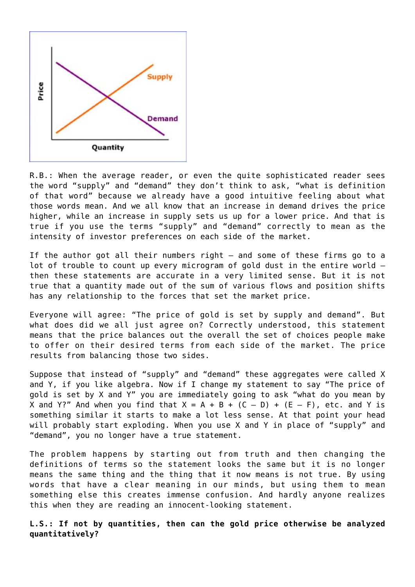

R.B.: When the average reader, or even the quite sophisticated reader sees the word "supply" and "demand" they don't think to ask, "what is definition of that word" because we already have a good intuitive feeling about what those words mean. And we all know that an increase in demand drives the price higher, while an increase in supply sets us up for a lower price. And that is true if you use the terms "supply" and "demand" correctly to mean as the intensity of investor preferences on each side of the market.

If the author got all their numbers right – and some of these firms go to a lot of trouble to count up every microgram of gold dust in the entire world – then these statements are accurate in a very limited sense. But it is not true that a quantity made out of the sum of various flows and position shifts has any relationship to the forces that set the market price.

Everyone will agree: "The price of gold is set by supply and demand". But what does did we all just agree on? Correctly understood, this statement means that the price balances out the overall the set of choices people make to offer on their desired terms from each side of the market. The price results from balancing those two sides.

Suppose that instead of "supply" and "demand" these aggregates were called X and Y, if you like algebra. Now if I change my statement to say "The price of gold is set by X and Y" you are immediately going to ask "what do you mean by X and Y?" And when you find that  $X = A + B + (C - D) + (E - F)$ , etc. and Y is something similar it starts to make a lot less sense. At that point your head will probably start exploding. When you use X and Y in place of "supply" and "demand", you no longer have a true statement.

The problem happens by starting out from truth and then changing the definitions of terms so the statement looks the same but it is no longer means the same thing and the thing that it now means is not true. By using words that have a clear meaning in our minds, but using them to mean something else this creates immense confusion. And hardly anyone realizes this when they are reading an innocent-looking statement.

## **L.S.: If not by quantities, then can the gold price otherwise be analyzed quantitatively?**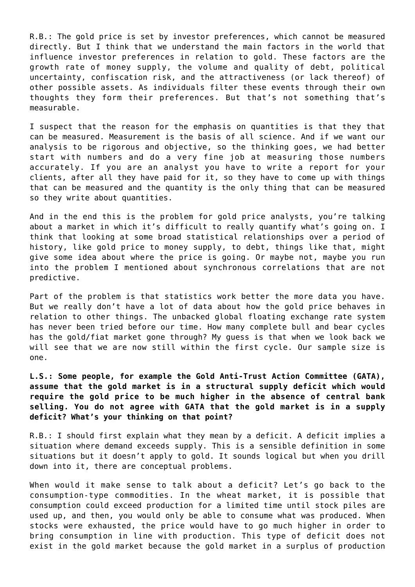R.B.: The gold price is set by investor preferences, which cannot be measured directly. But I think that we understand the main factors in the world that influence investor preferences in relation to gold. These factors are the growth rate of money supply, the volume and quality of debt, political uncertainty, confiscation risk, and the attractiveness (or lack thereof) of other possible assets. As individuals filter these events through their own thoughts they form their preferences. But that's not something that's measurable.

I suspect that the reason for the emphasis on quantities is that they that can be measured. Measurement is the basis of all science. And if we want our analysis to be rigorous and objective, so the thinking goes, we had better start with numbers and do a very fine job at measuring those numbers accurately. If you are an analyst you have to write a report for your clients, after all they have paid for it, so they have to come up with things that can be measured and the quantity is the only thing that can be measured so they write about quantities.

And in the end this is the problem for gold price analysts, you're talking about a market in which it's difficult to really quantify what's going on. I think that looking at some broad statistical relationships over a period of history, like gold price to money supply, to debt, things like that, might give some idea about where the price is going. Or maybe not, maybe you run into the problem I mentioned about synchronous correlations that are not predictive.

Part of the problem is that statistics work better the more data you have. But we really don't have a lot of data about how the gold price behaves in relation to other things. The unbacked global floating exchange rate system has never been tried before our time. How many complete bull and bear cycles has the gold/fiat market gone through? My guess is that when we look back we will see that we are now still within the first cycle. Our sample size is one.

**L.S.: Some people, for example the Gold Anti-Trust Action Committee (GATA), assume that the gold market is in a structural supply deficit which would require the gold price to be much higher in the absence of central bank selling. You do not agree with GATA that the gold market is in a supply deficit? What's your thinking on that point?**

R.B.: I should first explain what they mean by a deficit. A deficit implies a situation where demand exceeds supply. This is a sensible definition in some situations but it doesn't apply to gold. It sounds logical but when you drill down into it, there are conceptual problems.

When would it make sense to talk about a deficit? Let's go back to the consumption-type commodities. In the wheat market, it is possible that consumption could exceed production for a limited time until stock piles are used up, and then, you would only be able to consume what was produced. When stocks were exhausted, the price would have to go much higher in order to bring consumption in line with production. This type of deficit does not exist in the gold market because the gold market in a surplus of production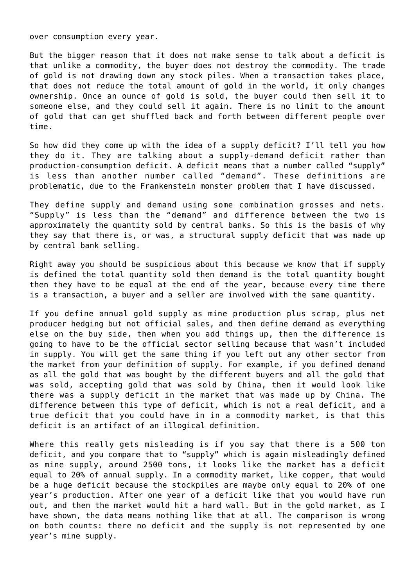over consumption every year.

But the bigger reason that it does not make sense to talk about a deficit is that unlike a commodity, the buyer does not destroy the commodity. The trade of gold is not drawing down any stock piles. When a transaction takes place, that does not reduce the total amount of gold in the world, it only changes ownership. Once an ounce of gold is sold, the buyer could then sell it to someone else, and they could sell it again. There is no limit to the amount of gold that can get shuffled back and forth between different people over time.

So how did they come up with the idea of a supply deficit? [I'll tell you how](http://www.lewrockwell.com/blumen/blumen14.html) [they do it](http://www.lewrockwell.com/blumen/blumen14.html). They are talking about a supply-demand deficit rather than production-consumption deficit. A deficit means that a number called "supply" is less than another number called "demand". These definitions are problematic, due to the Frankenstein monster problem that I have discussed.

They define supply and demand using some combination grosses and nets. "Supply" is less than the "demand" and difference between the two is approximately the quantity sold by central banks. So this is the basis of why they say that there is, or was, a structural supply deficit that was made up by central bank selling.

Right away you should be suspicious about this because we know that if supply is defined the total quantity sold then demand is the total quantity bought then they have to be equal at the end of the year, because every time there is a transaction, a buyer and a seller are involved with the same quantity.

If you define annual gold supply as mine production plus scrap, plus net producer hedging but not official sales, and then define demand as everything else on the buy side, then when you add things up, then the difference is going to have to be the official sector selling because that wasn't included in supply. You will get the same thing if you left out any other sector from the market from your definition of supply. For example, if you defined demand as all the gold that was bought by the different buyers and all the gold that was sold, accepting gold that was sold by China, then it would look like there was a supply deficit in the market that was made up by China. The difference between this type of deficit, which is not a real deficit, and a true deficit that you could have in in a commodity market, is that this deficit is an artifact of an illogical definition.

Where this really gets misleading is if you say that there is a 500 ton deficit, and you compare that to "supply" which is again misleadingly defined as mine supply, around 2500 tons, it looks like the market has a deficit equal to 20% of annual supply. In a commodity market, like copper, that would be a huge deficit because the stockpiles are maybe only equal to 20% of one year's production. After one year of a deficit like that you would have run out, and then the market would hit a hard wall. But in the gold market, as I have shown, the data means nothing like that at all. The comparison is wrong on both counts: there no deficit and the supply is not represented by one year's mine supply.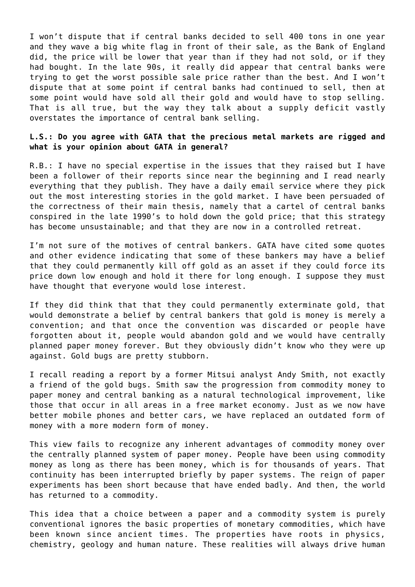I won't dispute that if central banks decided to sell 400 tons in one year and they wave a big white flag in front of their sale, as the Bank of England did, the price will be lower that year than if they had not sold, or if they had bought. In the late 90s, it really did appear that central banks were trying to get the worst possible sale price rather than the best. And I won't dispute that at some point if central banks had continued to sell, then at some point would have sold all their gold and would have to stop selling. That is all true, but the way they talk about a supply deficit vastly overstates the importance of central bank selling.

## **L.S.: Do you agree with GATA that the precious metal markets are rigged and what is your opinion about GATA in general?**

R.B.: I have no special expertise in the issues that they raised but I have been a follower of their reports since near the beginning and I read nearly everything that they publish. They have a daily email service where they pick out the most interesting stories in the gold market. I have been persuaded of the correctness of their main thesis, namely that a cartel of central banks conspired in the late 1990's to hold down the gold price; that this strategy has become unsustainable; and that they are now in a controlled retreat.

I'm not sure of the motives of central bankers. GATA have cited some quotes and other evidence indicating that some of these bankers may have a belief that they could permanently kill off gold as an asset if they could force its price down low enough and hold it there for long enough. I suppose they must have thought that everyone would lose interest.

If they did think that that they could permanently exterminate gold, that would demonstrate a belief by central bankers that gold is money is merely a convention; and that once the convention was discarded or people have forgotten about it, people would abandon gold and we would have centrally planned paper money forever. But they obviously didn't know who they were up against. Gold bugs are pretty stubborn.

I recall reading a report by a former Mitsui analyst Andy Smith, not exactly a friend of the gold bugs. Smith saw the progression from commodity money to paper money and central banking as a natural technological improvement, like those that occur in all areas in a free market economy. Just as we now have better mobile phones and better cars, we have replaced an outdated form of money with a more modern form of money.

This view fails to recognize any inherent advantages of commodity money over the centrally planned system of paper money. People have been using commodity money as long as there has been money, which is for thousands of years. That continuity has been interrupted briefly by paper systems. The reign of paper experiments has been short because that have ended badly. And then, the world has returned to a commodity.

This idea that a choice between a paper and a commodity system is purely conventional ignores the [basic properties of monetary commodities](http://money.blurtit.com/q5102689.html), which have been known since ancient times. The properties have roots in physics, chemistry, geology and human nature. These realities will always drive human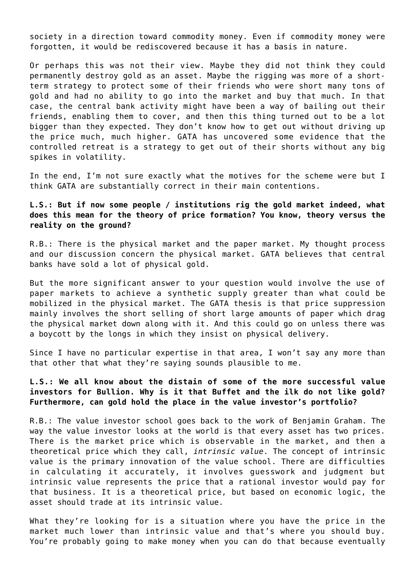society in a direction toward commodity money. Even if commodity money were forgotten, it would be rediscovered because it has a basis in nature.

Or perhaps this was not their view. Maybe they did not think they could permanently destroy gold as an asset. Maybe the rigging was more of a shortterm strategy to protect some of their friends who were short many tons of gold and had no ability to go into the market and buy that much. In that case, the central bank activity might have been a way of bailing out their friends, enabling them to cover, and then this thing turned out to be a lot bigger than they expected. They don't know how to get out without driving up the price much, much higher. GATA has uncovered some evidence that the controlled retreat is a strategy to get out of their shorts without any big spikes in volatility.

In the end, I'm not sure exactly what the motives for the scheme were but I think GATA are substantially correct in their main contentions.

# **L.S.: But if now some people / institutions rig the gold market indeed, what does this mean for the theory of price formation? You know, theory versus the reality on the ground?**

R.B.: There is the physical market and the paper market. My thought process and our discussion concern the physical market. GATA believes that central banks have sold a lot of physical gold.

But the more significant answer to your question would involve the use of paper markets to achieve a synthetic supply greater than what could be mobilized in the physical market. The GATA thesis is that price suppression mainly involves the short selling of short large amounts of paper which drag the physical market down along with it. And this could go on unless there was a boycott by the longs in which they insist on physical delivery.

Since I have no particular expertise in that area, I won't say any more than that other that what they're saying sounds plausible to me.

**L.S.: We all know about the distain of some of the more successful value investors for Bullion. Why is it that Buffet and the ilk do not like gold? Furthermore, can gold hold the place in the value investor's portfolio?**

R.B.: The value investor school goes back to [the work of Benjamin Graham.](http://www.amazon.com/Security-Analysis-Edition-Foreword-Editions/dp/0071592539) The way the value investor looks at the world is that every asset has two prices. There is the market price which is observable in the market, and then a theoretical price which they call, *intrinsic value*. The concept of intrinsic value is the primary innovation of the value school. There are difficulties in calculating it accurately, it involves guesswork and judgment but intrinsic value represents the price that a rational investor would pay for that business. It is a theoretical price, but based on economic logic, the asset should trade at its intrinsic value.

What they're looking for is a situation where you have the price in the market much lower than intrinsic value and that's where you should buy. You're probably going to make money when you can do that because eventually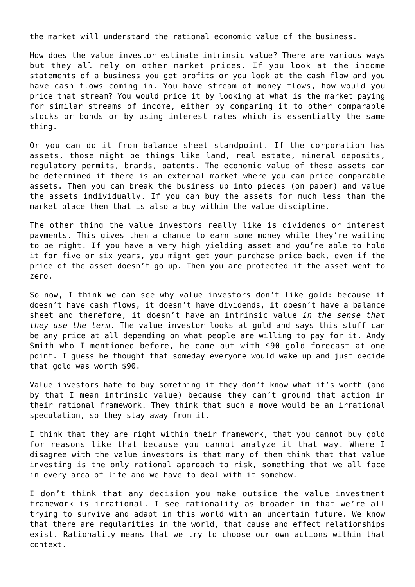the market will understand the rational economic value of the business.

How does the value investor estimate intrinsic value? There are various ways but they all rely on other market prices. If you look at the income statements of a business you get profits or you look at the cash flow and you have cash flows coming in. You have stream of money flows, how would you price that stream? You would price it by looking at what is the market paying for similar streams of income, either by comparing it to other comparable stocks or bonds or by using interest rates which is essentially the same thing.

Or you can do it from balance sheet standpoint. If the corporation has assets, those might be things like land, real estate, mineral deposits, regulatory permits, brands, patents. The economic value of these assets can be determined if there is an external market where you can price comparable assets. Then you can break the business up into pieces (on paper) and value the assets individually. If you can buy the assets for much less than the market place then that is also a buy within the value discipline.

The other thing the value investors really like is dividends or interest payments. This gives them a chance to earn some money while they're waiting to be right. If you have a very high yielding asset and you're able to hold it for five or six years, you might get your purchase price back, even if the price of the asset doesn't go up. Then you are protected if the asset went to zero.

So now, I think we can see why value investors don't like gold: because it doesn't have cash flows, it doesn't have dividends, it doesn't have a balance sheet and therefore, it doesn't have an intrinsic value *in the sense that they use the term*. The value investor looks at gold and says this stuff can be any price at all depending on what people are willing to pay for it. Andy Smith who I mentioned before, he came out with \$90 gold forecast at one point. I guess he thought that someday everyone would wake up and just decide that gold was worth \$90.

Value investors hate to buy something if they don't know what it's worth (and by that I mean intrinsic value) because they can't ground that action in their rational framework. They think that such a move would be an irrational speculation, so they stay away from it.

I think that they are right within their framework, that you cannot buy gold for reasons like that because you cannot analyze it that way. Where I disagree with the value investors is that many of them think that that value investing is the only rational approach to risk, something that we all face in every area of life and we have to deal with it somehow.

I don't think that any decision you make outside the value investment framework is irrational. I see rationality as broader in that we're all trying to survive and adapt in this world with an uncertain future. We know that there are regularities in the world, that cause and effect relationships exist. Rationality means that we try to choose our own actions within that context.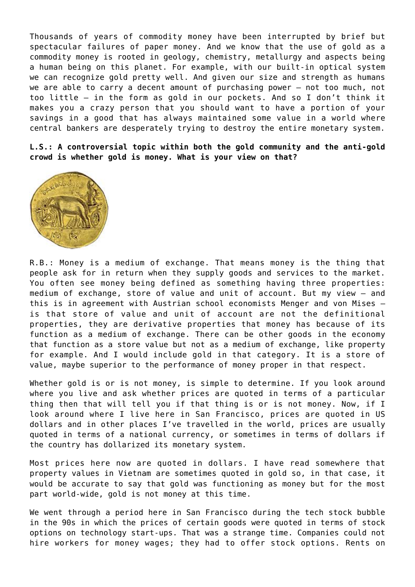Thousands of years of commodity money have been interrupted by brief but spectacular failures of paper money. And we know that the use of gold as a commodity money is rooted in geology, chemistry, metallurgy and aspects being a human being on this planet. For example, with our built-in optical system we can recognize gold pretty well. And given our size and strength as humans we are able to carry a decent amount of purchasing power – not too much, not too little – in the form as gold in our pockets. And so I don't think it makes you a crazy person that you should want to have a portion of your savings in a good that has always maintained some value in a world where central bankers are desperately trying to destroy the entire monetary system.

**L.S.: A controversial topic within both the gold community and the anti-gold crowd is whether gold is money. What is your view on that?**



R.B.: Money is a medium of exchange. That means money is the thing that people ask for in return when they supply goods and services to the market. You often see money being defined as something having three properties: medium of exchange, store of value and unit of account. But my view – and this is in agreement with Austrian school economists [Menger](http://mises.org/etexts/menger/principles.asp) and [von Mises](http://mises.org/books/Theory_Money_Credit/Contents.aspx) – is that store of value and unit of account are not the definitional properties, they are derivative properties that money has because of its function as a medium of exchange. There can be other goods in the economy that function as a store value but not as a medium of exchange, like property for example. And I would include gold in that category. It is a store of value, maybe superior to the performance of money proper in that respect.

Whether gold is or is not money, is simple to determine. If you look around where you live and ask whether prices are quoted in terms of a particular thing then that will tell you if that thing is or is not money. Now, if I look around where I live here in San Francisco, prices are quoted in US dollars and in other places I've travelled in the world, prices are usually quoted in terms of a national currency, or sometimes in terms of dollars if the country has dollarized its monetary system.

Most prices here now are quoted in dollars. I have read somewhere that property values in Vietnam are sometimes quoted in gold so, in that case, it would be accurate to say that gold was functioning as money but for the most part world-wide, gold is not money at this time.

We went through a period here in San Francisco during the tech stock bubble in the 90s in which the prices of certain goods were quoted in terms of stock options on technology start-ups. That was a strange time. Companies could not hire workers for money wages; they had to offer stock options. Rents on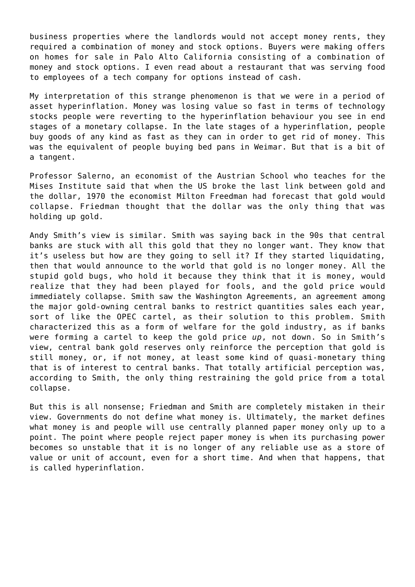business properties where the landlords would not accept money rents, they required a combination of money and stock options. Buyers were making offers on homes for sale in Palo Alto California consisting of a combination of money and stock options. I even read about a restaurant that was serving food to employees of a tech company for options instead of cash.

My interpretation of this strange phenomenon is that we were in a period of asset hyperinflation. Money was losing value so fast in terms of technology stocks people were reverting to the hyperinflation behaviour you see in end stages of a monetary collapse. In the late stages of a hyperinflation, people buy goods of any kind as fast as they can in order to get rid of money. This was the equivalent of [people buying bed pans in Weimar.](http://mises.org/daily/1611/) But that is a bit of a tangent.

Professor Salerno, an economist of the Austrian School who teaches for the Mises Institute said that when the US broke the last link between gold and the dollar, 1970 the economist Milton Freedman had forecast that gold would collapse. Friedman thought that the dollar was the only thing that was holding up gold.

Andy Smith's view is similar. Smith was saying back in the 90s that central banks are stuck with all this gold that they no longer want. They know that it's useless but how are they going to sell it? If they started liquidating, then that would announce to the world that gold is no longer money. All the stupid gold bugs, who hold it because they think that it is money, would realize that they had been played for fools, and the gold price would immediately collapse. Smith saw the [Washington Agreements](http://en.wikipedia.org/wiki/Washington_Agreement_on_Gold), an agreement among the major gold-owning central banks to restrict quantities sales each year, sort of like the OPEC cartel, as their solution to this problem. Smith characterized this as a form of welfare for the gold industry, as if banks were forming a cartel to keep the gold price *up*, not down. So in Smith's view, central bank gold reserves only reinforce the perception that gold is still money, or, if not money, at least some kind of quasi-monetary thing that is of interest to central banks. That totally artificial perception was, according to Smith, the only thing restraining the gold price from a total collapse.

But this is all nonsense; Friedman and Smith are completely mistaken in their view. Governments do not define what money is. Ultimately, the market defines what money is and people will use centrally planned paper money only up to a point. The point where people reject paper money is when its purchasing power becomes so unstable that it is no longer of any reliable use as a store of value or unit of account, even for a short time. And when that happens, that is called hyperinflation.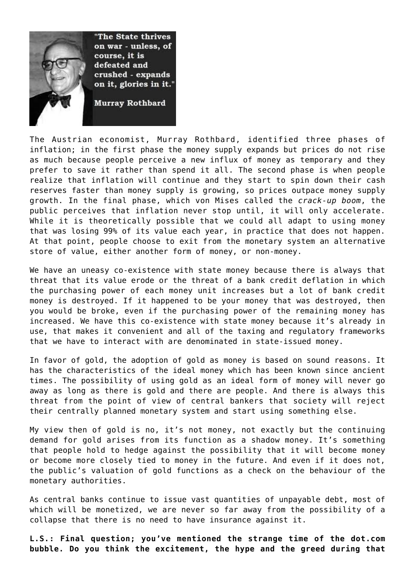

The Austrian economist, Murray Rothbard, [identified three phases of](http://mises.org/Books/mysteryofbanking.pdf) [inflation](http://mises.org/Books/mysteryofbanking.pdf); in the first phase the money supply expands but prices do not rise as much because people perceive a new influx of money as temporary and they prefer to save it rather than spend it all. The second phase is when people realize that inflation will continue and they start to spin down their cash reserves faster than money supply is growing, so prices outpace money supply growth. In the final phase, which von Mises called the *crack-up boom*, the public perceives that inflation never stop until, it will only accelerate. While it is theoretically possible that we could all adapt to using money that was losing 99% of its value each year, in practice that does not happen. At that point, people choose to exit from the monetary system an alternative store of value, either another form of money, or non-money.

We have an uneasy co-existence with state money because there is always that threat that its value erode or the threat of a bank credit deflation in which the purchasing power of each money unit increases but a lot of bank credit money is destroyed. If it happened to be your money that was destroyed, then you would be broke, even if the purchasing power of the remaining money has increased. We have this co-existence with state money because it's already in use, that makes it convenient and all of the taxing and regulatory frameworks that we have to interact with are denominated in state-issued money.

In favor of gold, the adoption of gold as money is based on sound reasons. It has the characteristics of the ideal money which has been known since ancient times. The possibility of using gold as an ideal form of money will never go away as long as there is gold and there are people. And there is always this threat from the point of view of central bankers that society will reject their centrally planned monetary system and start using something else.

My view then of gold is no, it's not money, not exactly but the continuing demand for gold arises from its function as a shadow money. It's something that people hold to hedge against the possibility that it will become money or become more closely tied to money in the future. And even if it does not, the public's valuation of gold functions as a check on the behaviour of the monetary authorities.

As central banks continue to issue vast quantities of unpayable debt, most of which will be monetized, we are never so far away from the possibility of a collapse that there is no need to have insurance against it.

**L.S.: Final question; you've mentioned the strange time of the dot.com bubble. Do you think the excitement, the hype and the greed during that**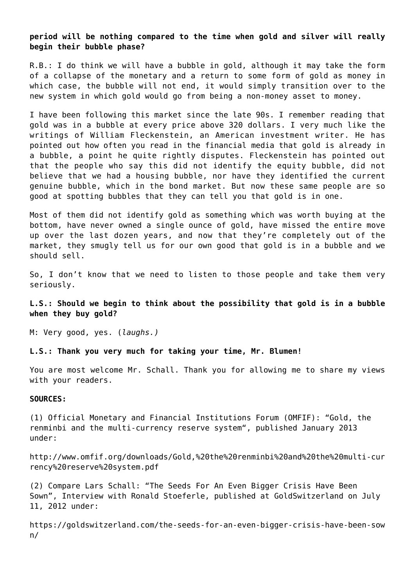**period will be nothing compared to the time when gold and silver will really begin their bubble phase?**

R.B.: I do think we will have a bubble in gold, although it may take the form of a collapse of the monetary and a return to some form of gold as money in which case, the bubble will not end, it would simply transition over to the new system in which gold would go from being a non-money asset to money.

I have been following this market since the late 90s. I remember reading that gold was in a bubble at every price above 320 dollars. I very much like the writings of [William Fleckenstein](https://www.fleckensteincapital.com/index.aspx), an American investment writer. He has pointed out how often you read in the financial media that gold is already in a bubble, a point he quite rightly disputes. Fleckenstein has pointed out that the people who say this did not identify the equity bubble, did not believe that we had a housing bubble, nor have they identified the current genuine bubble, which in the bond market. But now these same people are so good at spotting bubbles that they can tell you that gold is in one.

Most of them did not identify gold as something which was worth buying at the bottom, have never owned a single ounce of gold, have missed the entire move up over the last dozen years, and now that they're completely out of the market, they smugly tell us for our own good that gold is in a bubble and we should sell.

So, I don't know that we need to listen to those people and take them very seriously.

## **L.S.: Should we begin to think about the possibility that gold is in a bubble when they buy gold?**

M: Very good, yes. (*laughs.)*

**L.S.: Thank you very much for taking your time, Mr. Blumen!**

You are most welcome Mr. Schall. Thank you for allowing me to share my views with your readers.

#### **SOURCES:**

(1) Official Monetary and Financial Institutions Forum (OMFIF): "Gold, the renminbi and the multi-currency reserve system", published January 2013 under:

[http://www.omfif.org/downloads/Gold,%20the%20renminbi%20and%20the%20multi-cur](http://www.omfif.org/downloads/Gold,%20the%20renminbi%20and%20the%20multi-currency%20reserve%20system.pdf) [rency%20reserve%20system.pdf](http://www.omfif.org/downloads/Gold,%20the%20renminbi%20and%20the%20multi-currency%20reserve%20system.pdf)

(2) Compare Lars Schall: "The Seeds For An Even Bigger Crisis Have Been Sown", Interview with Ronald Stoeferle, published at GoldSwitzerland on July 11, 2012 under:

[https://goldswitzerland.com/the-seeds-for-an-even-bigger-crisis-have-been-sow](https://goldswitzerland.com/the-seeds-for-an-even-bigger-crisis-have-been-sown/) [n/](https://goldswitzerland.com/the-seeds-for-an-even-bigger-crisis-have-been-sown/)